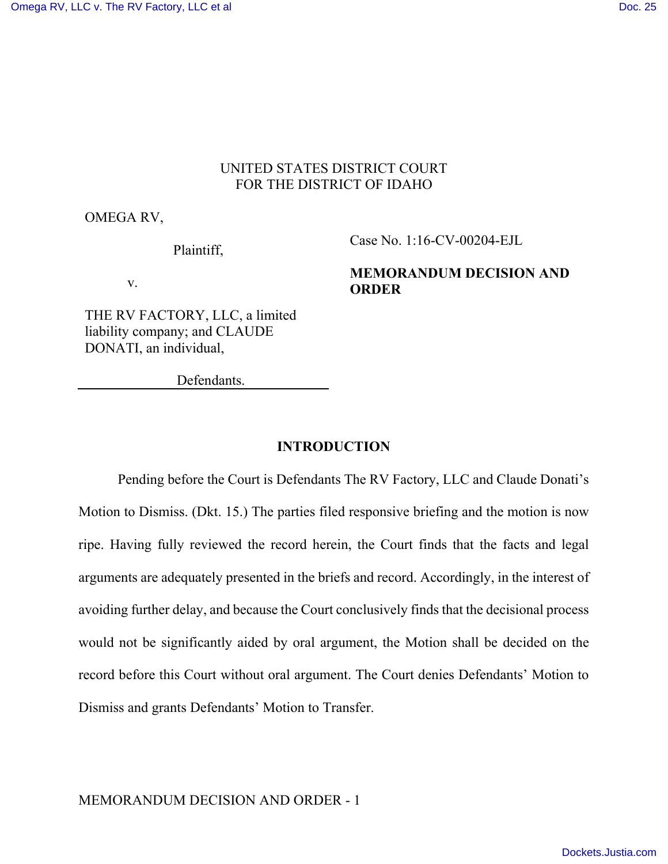# UNITED STATES DISTRICT COURT FOR THE DISTRICT OF IDAHO

OMEGA RV,

Plaintiff,

Case No. 1:16-CV-00204-EJL

v.

**MEMORANDUM DECISION AND ORDER**

THE RV FACTORY, LLC, a limited liability company; and CLAUDE DONATI, an individual,

Defendants.

## **INTRODUCTION**

Pending before the Court is Defendants The RV Factory, LLC and Claude Donati's Motion to Dismiss. (Dkt. 15.) The parties filed responsive briefing and the motion is now ripe. Having fully reviewed the record herein, the Court finds that the facts and legal arguments are adequately presented in the briefs and record. Accordingly, in the interest of avoiding further delay, and because the Court conclusively finds that the decisional process would not be significantly aided by oral argument, the Motion shall be decided on the record before this Court without oral argument. The Court denies Defendants' Motion to Dismiss and grants Defendants' Motion to Transfer.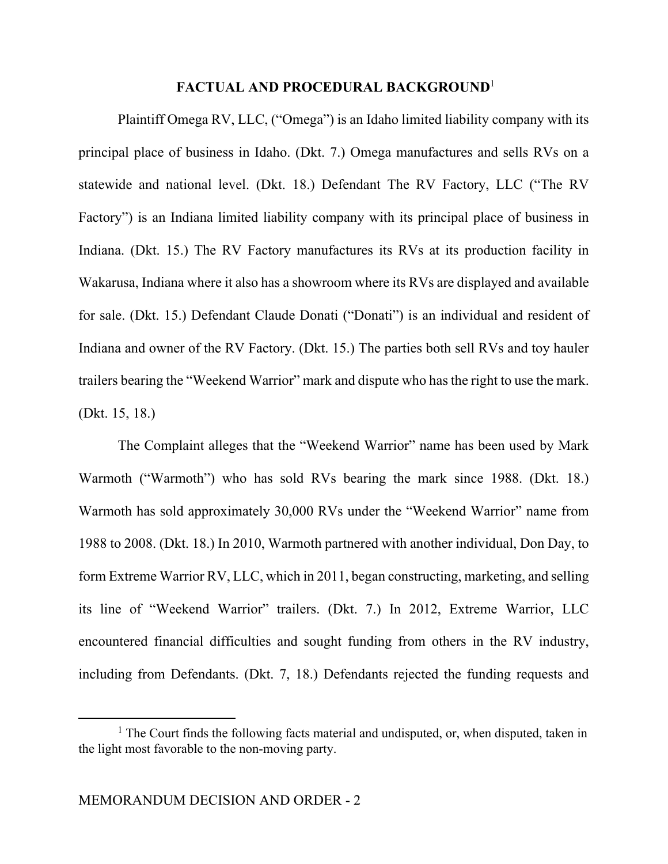## **FACTUAL AND PROCEDURAL BACKGROUND**<sup>1</sup>

 Plaintiff Omega RV, LLC, ("Omega") is an Idaho limited liability company with its principal place of business in Idaho. (Dkt. 7.) Omega manufactures and sells RVs on a statewide and national level. (Dkt. 18.) Defendant The RV Factory, LLC ("The RV Factory") is an Indiana limited liability company with its principal place of business in Indiana. (Dkt. 15.) The RV Factory manufactures its RVs at its production facility in Wakarusa, Indiana where it also has a showroom where its RVs are displayed and available for sale. (Dkt. 15.) Defendant Claude Donati ("Donati") is an individual and resident of Indiana and owner of the RV Factory. (Dkt. 15.) The parties both sell RVs and toy hauler trailers bearing the "Weekend Warrior" mark and dispute who has the right to use the mark. (Dkt. 15, 18.)

 The Complaint alleges that the "Weekend Warrior" name has been used by Mark Warmoth ("Warmoth") who has sold RVs bearing the mark since 1988. (Dkt. 18.) Warmoth has sold approximately 30,000 RVs under the "Weekend Warrior" name from 1988 to 2008. (Dkt. 18.) In 2010, Warmoth partnered with another individual, Don Day, to form Extreme Warrior RV, LLC, which in 2011, began constructing, marketing, and selling its line of "Weekend Warrior" trailers. (Dkt. 7.) In 2012, Extreme Warrior, LLC encountered financial difficulties and sought funding from others in the RV industry, including from Defendants. (Dkt. 7, 18.) Defendants rejected the funding requests and

<sup>&</sup>lt;sup>1</sup> The Court finds the following facts material and undisputed, or, when disputed, taken in the light most favorable to the non-moving party.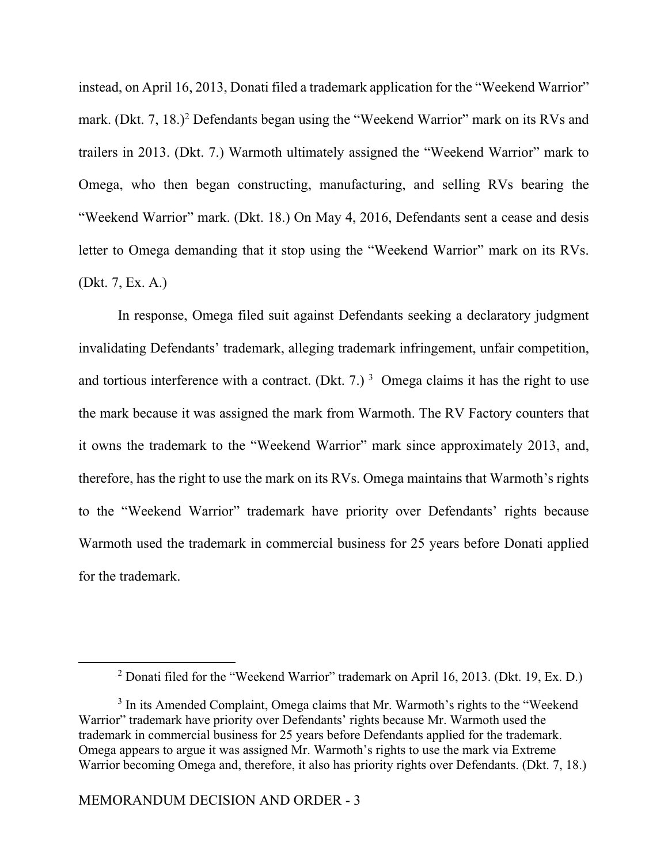instead, on April 16, 2013, Donati filed a trademark application for the "Weekend Warrior" mark. (Dkt. 7, 18.)<sup>2</sup> Defendants began using the "Weekend Warrior" mark on its RVs and trailers in 2013. (Dkt. 7.) Warmoth ultimately assigned the "Weekend Warrior" mark to Omega, who then began constructing, manufacturing, and selling RVs bearing the "Weekend Warrior" mark. (Dkt. 18.) On May 4, 2016, Defendants sent a cease and desis letter to Omega demanding that it stop using the "Weekend Warrior" mark on its RVs. (Dkt. 7, Ex. A.)

 In response, Omega filed suit against Defendants seeking a declaratory judgment invalidating Defendants' trademark, alleging trademark infringement, unfair competition, and tortious interference with a contract. (Dkt. 7.)<sup>3</sup> Omega claims it has the right to use the mark because it was assigned the mark from Warmoth. The RV Factory counters that it owns the trademark to the "Weekend Warrior" mark since approximately 2013, and, therefore, has the right to use the mark on its RVs. Omega maintains that Warmoth's rights to the "Weekend Warrior" trademark have priority over Defendants' rights because Warmoth used the trademark in commercial business for 25 years before Donati applied for the trademark.

 $\overline{a}$ 

<sup>&</sup>lt;sup>2</sup> Donati filed for the "Weekend Warrior" trademark on April 16, 2013. (Dkt. 19, Ex. D.)

<sup>&</sup>lt;sup>3</sup> In its Amended Complaint, Omega claims that Mr. Warmoth's rights to the "Weekend Warrior" trademark have priority over Defendants' rights because Mr. Warmoth used the trademark in commercial business for 25 years before Defendants applied for the trademark. Omega appears to argue it was assigned Mr. Warmoth's rights to use the mark via Extreme Warrior becoming Omega and, therefore, it also has priority rights over Defendants. (Dkt. 7, 18.)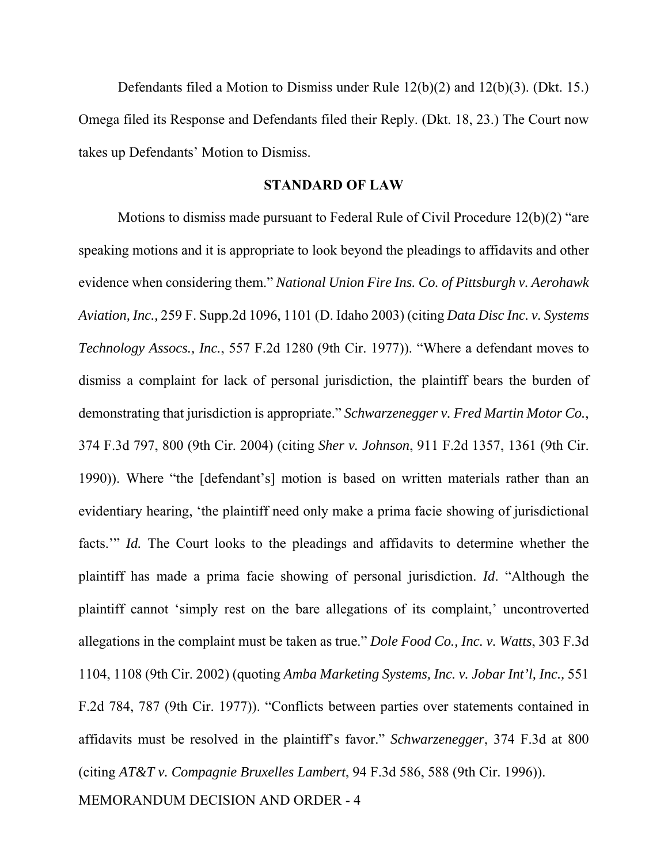Defendants filed a Motion to Dismiss under Rule 12(b)(2) and 12(b)(3). (Dkt. 15.) Omega filed its Response and Defendants filed their Reply. (Dkt. 18, 23.) The Court now takes up Defendants' Motion to Dismiss.

## **STANDARD OF LAW**

 Motions to dismiss made pursuant to Federal Rule of Civil Procedure 12(b)(2) "are speaking motions and it is appropriate to look beyond the pleadings to affidavits and other evidence when considering them." *National Union Fire Ins. Co. of Pittsburgh v. Aerohawk Aviation, Inc.,* 259 F. Supp.2d 1096, 1101 (D. Idaho 2003) (citing *Data Disc Inc. v. Systems Technology Assocs., Inc.*, 557 F.2d 1280 (9th Cir. 1977)). "Where a defendant moves to dismiss a complaint for lack of personal jurisdiction, the plaintiff bears the burden of demonstrating that jurisdiction is appropriate." *Schwarzenegger v. Fred Martin Motor Co.*, 374 F.3d 797, 800 (9th Cir. 2004) (citing *Sher v. Johnson*, 911 F.2d 1357, 1361 (9th Cir. 1990)). Where "the [defendant's] motion is based on written materials rather than an evidentiary hearing, 'the plaintiff need only make a prima facie showing of jurisdictional facts." *Id.* The Court looks to the pleadings and affidavits to determine whether the plaintiff has made a prima facie showing of personal jurisdiction. *Id*. "Although the plaintiff cannot 'simply rest on the bare allegations of its complaint,' uncontroverted allegations in the complaint must be taken as true." *Dole Food Co., Inc. v. Watts*, 303 F.3d 1104, 1108 (9th Cir. 2002) (quoting *Amba Marketing Systems, Inc. v. Jobar Int'l, Inc.,* 551 F.2d 784, 787 (9th Cir. 1977)). "Conflicts between parties over statements contained in affidavits must be resolved in the plaintiff's favor." *Schwarzenegger*, 374 F.3d at 800 (citing *AT&T v. Compagnie Bruxelles Lambert*, 94 F.3d 586, 588 (9th Cir. 1996)).

MEMORANDUM DECISION AND ORDER - 4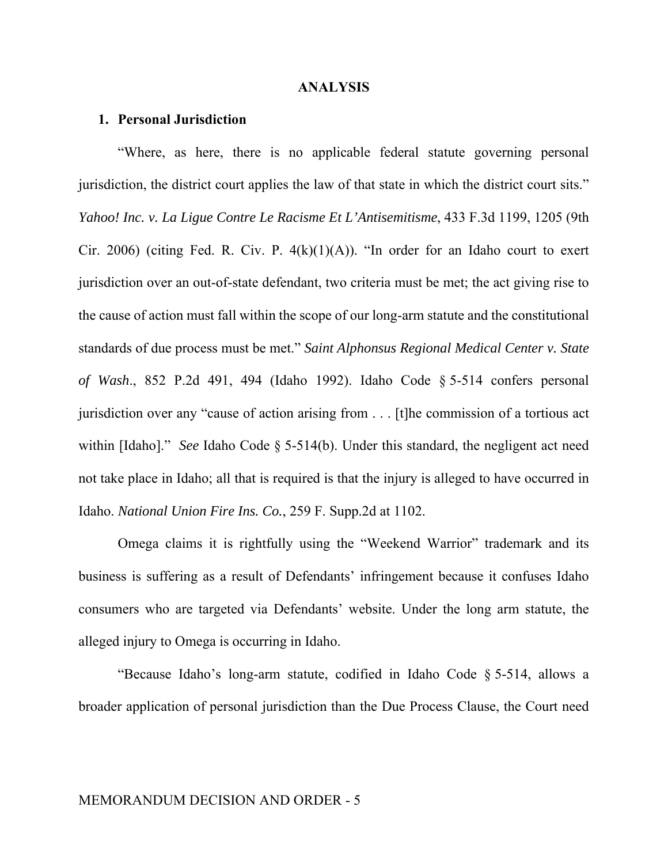#### **ANALYSIS**

#### **1. Personal Jurisdiction**

 "Where, as here, there is no applicable federal statute governing personal jurisdiction, the district court applies the law of that state in which the district court sits." *Yahoo! Inc. v. La Ligue Contre Le Racisme Et L'Antisemitisme*, 433 F.3d 1199, 1205 (9th Cir. 2006) (citing Fed. R. Civ. P.  $4(k)(1)(A)$ ). "In order for an Idaho court to exert jurisdiction over an out-of-state defendant, two criteria must be met; the act giving rise to the cause of action must fall within the scope of our long-arm statute and the constitutional standards of due process must be met." *Saint Alphonsus Regional Medical Center v. State of Wash*., 852 P.2d 491, 494 (Idaho 1992). Idaho Code § 5-514 confers personal jurisdiction over any "cause of action arising from . . . [t]he commission of a tortious act within [Idaho]." *See* Idaho Code § 5-514(b). Under this standard, the negligent act need not take place in Idaho; all that is required is that the injury is alleged to have occurred in Idaho. *National Union Fire Ins. Co.*, 259 F. Supp.2d at 1102.

 Omega claims it is rightfully using the "Weekend Warrior" trademark and its business is suffering as a result of Defendants' infringement because it confuses Idaho consumers who are targeted via Defendants' website. Under the long arm statute, the alleged injury to Omega is occurring in Idaho.

 "Because Idaho's long-arm statute, codified in Idaho Code § 5-514, allows a broader application of personal jurisdiction than the Due Process Clause, the Court need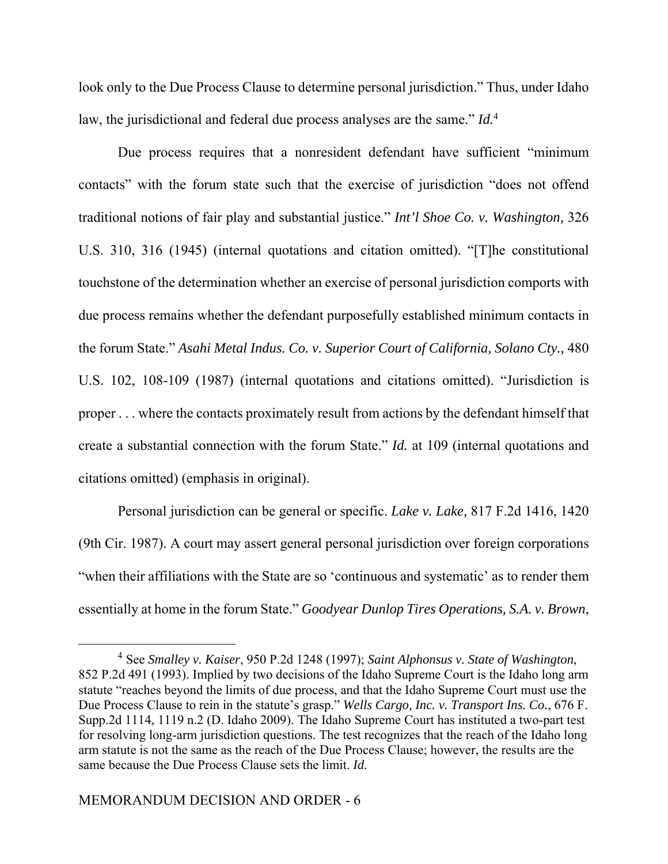look only to the Due Process Clause to determine personal jurisdiction." Thus, under Idaho law, the jurisdictional and federal due process analyses are the same." *Id.*<sup>4</sup>

 Due process requires that a nonresident defendant have sufficient "minimum contacts" with the forum state such that the exercise of jurisdiction "does not offend traditional notions of fair play and substantial justice." *Int'l Shoe Co. v. Washington,* 326 U.S. 310, 316 (1945) (internal quotations and citation omitted). "[T]he constitutional touchstone of the determination whether an exercise of personal jurisdiction comports with due process remains whether the defendant purposefully established minimum contacts in the forum State." *Asahi Metal Indus. Co. v. Superior Court of California, Solano Cty.,* 480 U.S. 102, 108-109 (1987) (internal quotations and citations omitted). "Jurisdiction is proper . . . where the contacts proximately result from actions by the defendant himself that create a substantial connection with the forum State." *Id.* at 109 (internal quotations and citations omitted) (emphasis in original).

Personal jurisdiction can be general or specific. *Lake v. Lake,* 817 F.2d 1416, 1420 (9th Cir. 1987). A court may assert general personal jurisdiction over foreign corporations "when their affiliations with the State are so 'continuous and systematic' as to render them essentially at home in the forum State." *Goodyear Dunlop Tires Operations, S.A. v. Brown*,

<sup>4</sup> See *Smalley v. Kaiser*, 950 P.2d 1248 (1997); *Saint Alphonsus v. State of Washington*, 852 P.2d 491 (1993). Implied by two decisions of the Idaho Supreme Court is the Idaho long arm statute "reaches beyond the limits of due process, and that the Idaho Supreme Court must use the Due Process Clause to rein in the statute's grasp." *Wells Cargo, Inc. v. Transport Ins. Co.*, 676 F. Supp.2d 1114, 1119 n.2 (D. Idaho 2009). The Idaho Supreme Court has instituted a two-part test for resolving long-arm jurisdiction questions. The test recognizes that the reach of the Idaho long arm statute is not the same as the reach of the Due Process Clause; however, the results are the same because the Due Process Clause sets the limit. *Id.*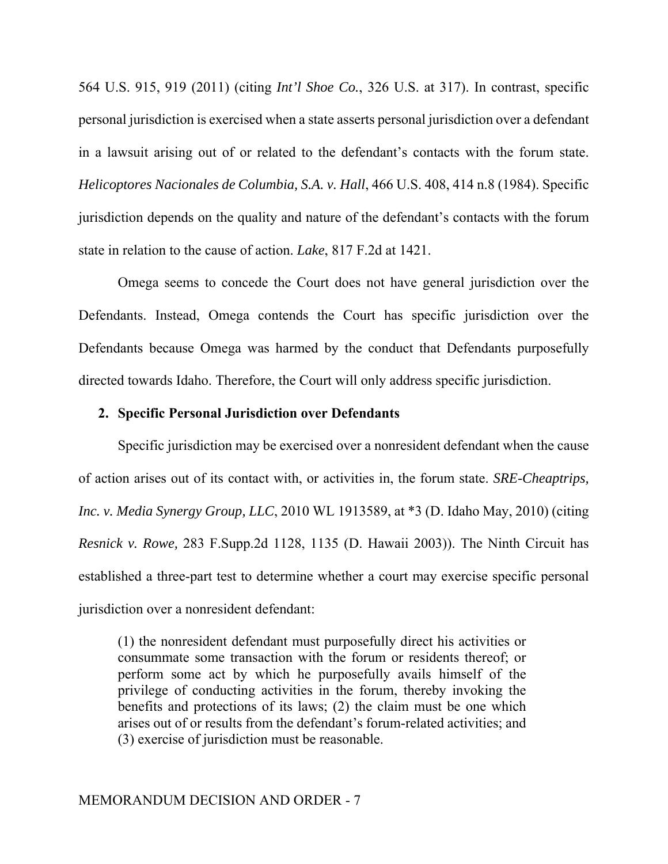564 U.S. 915, 919 (2011) (citing *Int'l Shoe Co.*, 326 U.S. at 317). In contrast, specific personal jurisdiction is exercised when a state asserts personal jurisdiction over a defendant in a lawsuit arising out of or related to the defendant's contacts with the forum state. *Helicoptores Nacionales de Columbia, S.A. v. Hall*, 466 U.S. 408, 414 n.8 (1984). Specific jurisdiction depends on the quality and nature of the defendant's contacts with the forum state in relation to the cause of action. *Lake*, 817 F.2d at 1421.

Omega seems to concede the Court does not have general jurisdiction over the Defendants. Instead, Omega contends the Court has specific jurisdiction over the Defendants because Omega was harmed by the conduct that Defendants purposefully directed towards Idaho. Therefore, the Court will only address specific jurisdiction.

## **2. Specific Personal Jurisdiction over Defendants**

Specific jurisdiction may be exercised over a nonresident defendant when the cause of action arises out of its contact with, or activities in, the forum state. *SRE-Cheaptrips, Inc. v. Media Synergy Group, LLC*, 2010 WL 1913589, at \*3 (D. Idaho May, 2010) (citing *Resnick v. Rowe,* 283 F.Supp.2d 1128, 1135 (D. Hawaii 2003)). The Ninth Circuit has established a three-part test to determine whether a court may exercise specific personal jurisdiction over a nonresident defendant:

(1) the nonresident defendant must purposefully direct his activities or consummate some transaction with the forum or residents thereof; or perform some act by which he purposefully avails himself of the privilege of conducting activities in the forum, thereby invoking the benefits and protections of its laws; (2) the claim must be one which arises out of or results from the defendant's forum-related activities; and (3) exercise of jurisdiction must be reasonable.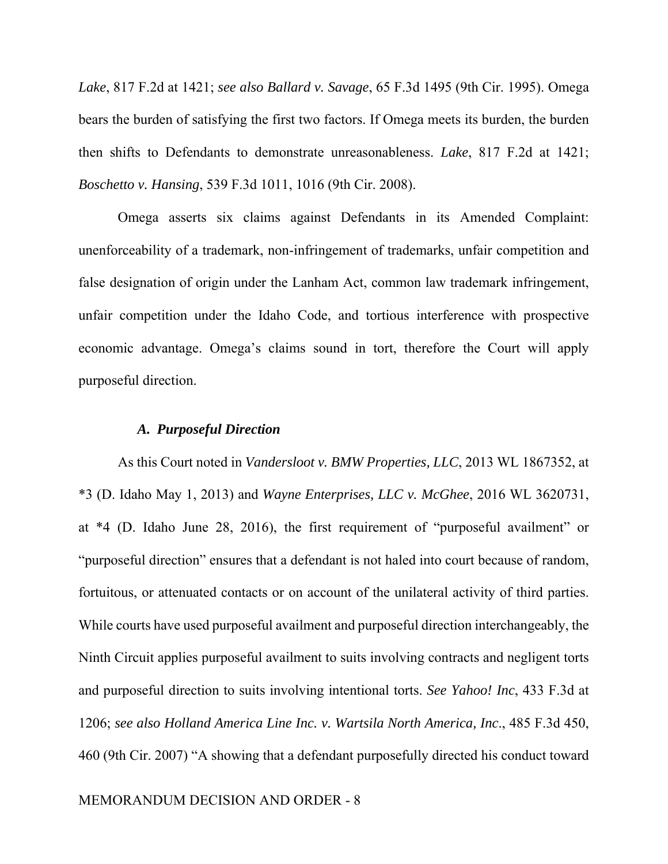*Lake*, 817 F.2d at 1421; *see also Ballard v. Savage*, 65 F.3d 1495 (9th Cir. 1995). Omega bears the burden of satisfying the first two factors. If Omega meets its burden, the burden then shifts to Defendants to demonstrate unreasonableness. *Lake*, 817 F.2d at 1421; *Boschetto v. Hansing*, 539 F.3d 1011, 1016 (9th Cir. 2008).

Omega asserts six claims against Defendants in its Amended Complaint: unenforceability of a trademark, non-infringement of trademarks, unfair competition and false designation of origin under the Lanham Act, common law trademark infringement, unfair competition under the Idaho Code, and tortious interference with prospective economic advantage. Omega's claims sound in tort, therefore the Court will apply purposeful direction.

## *A. Purposeful Direction*

As this Court noted in *Vandersloot v. BMW Properties, LLC*, 2013 WL 1867352, at \*3 (D. Idaho May 1, 2013) and *Wayne Enterprises, LLC v. McGhee*, 2016 WL 3620731, at \*4 (D. Idaho June 28, 2016), the first requirement of "purposeful availment" or "purposeful direction" ensures that a defendant is not haled into court because of random, fortuitous, or attenuated contacts or on account of the unilateral activity of third parties. While courts have used purposeful availment and purposeful direction interchangeably, the Ninth Circuit applies purposeful availment to suits involving contracts and negligent torts and purposeful direction to suits involving intentional torts. *See Yahoo! Inc*, 433 F.3d at 1206; *see also Holland America Line Inc. v. Wartsila North America, Inc*., 485 F.3d 450, 460 (9th Cir. 2007) "A showing that a defendant purposefully directed his conduct toward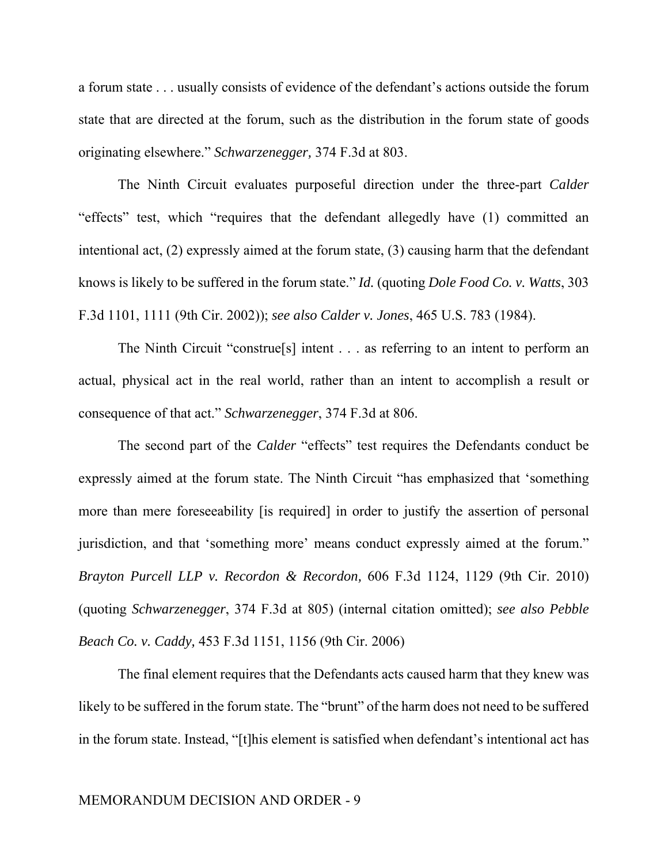a forum state . . . usually consists of evidence of the defendant's actions outside the forum state that are directed at the forum, such as the distribution in the forum state of goods originating elsewhere." *Schwarzenegger,* 374 F.3d at 803.

The Ninth Circuit evaluates purposeful direction under the three-part *Calder*  "effects" test, which "requires that the defendant allegedly have (1) committed an intentional act, (2) expressly aimed at the forum state, (3) causing harm that the defendant knows is likely to be suffered in the forum state." *Id.* (quoting *Dole Food Co. v. Watts*, 303 F.3d 1101, 1111 (9th Cir. 2002)); *see also Calder v. Jones*, 465 U.S. 783 (1984).

The Ninth Circuit "construe[s] intent . . . as referring to an intent to perform an actual, physical act in the real world, rather than an intent to accomplish a result or consequence of that act." *Schwarzenegger*, 374 F.3d at 806.

The second part of the *Calder* "effects" test requires the Defendants conduct be expressly aimed at the forum state. The Ninth Circuit "has emphasized that 'something more than mere foreseeability [is required] in order to justify the assertion of personal jurisdiction, and that 'something more' means conduct expressly aimed at the forum." *Brayton Purcell LLP v. Recordon & Recordon,* 606 F.3d 1124, 1129 (9th Cir. 2010) (quoting *Schwarzenegger*, 374 F.3d at 805) (internal citation omitted); *see also Pebble Beach Co. v. Caddy,* 453 F.3d 1151, 1156 (9th Cir. 2006)

The final element requires that the Defendants acts caused harm that they knew was likely to be suffered in the forum state. The "brunt" of the harm does not need to be suffered in the forum state. Instead, "[t]his element is satisfied when defendant's intentional act has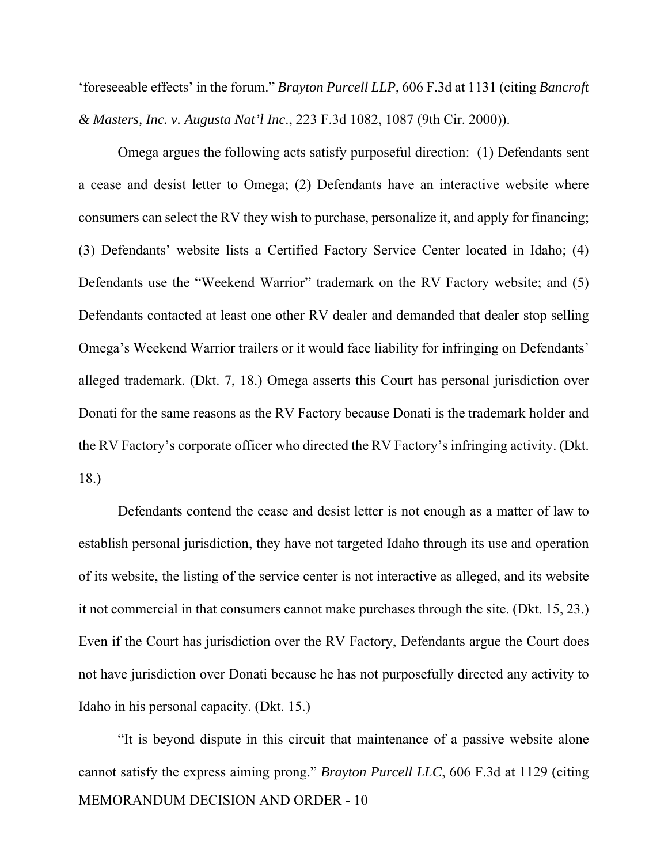'foreseeable effects' in the forum." *Brayton Purcell LLP*, 606 F.3d at 1131 (citing *Bancroft & Masters, Inc. v. Augusta Nat'l Inc*., 223 F.3d 1082, 1087 (9th Cir. 2000)).

Omega argues the following acts satisfy purposeful direction: (1) Defendants sent a cease and desist letter to Omega; (2) Defendants have an interactive website where consumers can select the RV they wish to purchase, personalize it, and apply for financing; (3) Defendants' website lists a Certified Factory Service Center located in Idaho; (4) Defendants use the "Weekend Warrior" trademark on the RV Factory website; and (5) Defendants contacted at least one other RV dealer and demanded that dealer stop selling Omega's Weekend Warrior trailers or it would face liability for infringing on Defendants' alleged trademark. (Dkt. 7, 18.) Omega asserts this Court has personal jurisdiction over Donati for the same reasons as the RV Factory because Donati is the trademark holder and the RV Factory's corporate officer who directed the RV Factory's infringing activity. (Dkt. 18.)

Defendants contend the cease and desist letter is not enough as a matter of law to establish personal jurisdiction, they have not targeted Idaho through its use and operation of its website, the listing of the service center is not interactive as alleged, and its website it not commercial in that consumers cannot make purchases through the site. (Dkt. 15, 23.) Even if the Court has jurisdiction over the RV Factory, Defendants argue the Court does not have jurisdiction over Donati because he has not purposefully directed any activity to Idaho in his personal capacity. (Dkt. 15.)

MEMORANDUM DECISION AND ORDER - 10 "It is beyond dispute in this circuit that maintenance of a passive website alone cannot satisfy the express aiming prong." *Brayton Purcell LLC*, 606 F.3d at 1129 (citing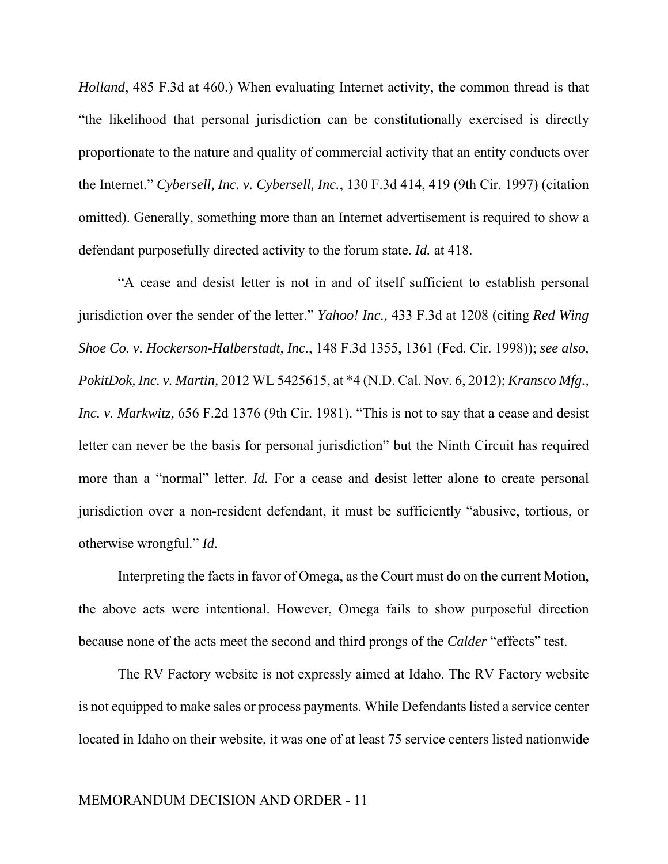*Holland*, 485 F.3d at 460.) When evaluating Internet activity, the common thread is that "the likelihood that personal jurisdiction can be constitutionally exercised is directly proportionate to the nature and quality of commercial activity that an entity conducts over the Internet." *Cybersell, Inc. v. Cybersell, Inc.*, 130 F.3d 414, 419 (9th Cir. 1997) (citation omitted). Generally, something more than an Internet advertisement is required to show a defendant purposefully directed activity to the forum state. *Id.* at 418.

"A cease and desist letter is not in and of itself sufficient to establish personal jurisdiction over the sender of the letter." *Yahoo! Inc.,* 433 F.3d at 1208 (citing *Red Wing Shoe Co. v. Hockerson-Halberstadt, Inc.*, 148 F.3d 1355, 1361 (Fed. Cir. 1998)); *see also, PokitDok, Inc. v. Martin,* 2012 WL 5425615, at \*4 (N.D. Cal. Nov. 6, 2012); *Kransco Mfg., Inc. v. Markwitz,* 656 F.2d 1376 (9th Cir. 1981). "This is not to say that a cease and desist letter can never be the basis for personal jurisdiction" but the Ninth Circuit has required more than a "normal" letter. *Id*. For a cease and desist letter alone to create personal jurisdiction over a non-resident defendant, it must be sufficiently "abusive, tortious, or otherwise wrongful." *Id.*

Interpreting the facts in favor of Omega, as the Court must do on the current Motion, the above acts were intentional. However, Omega fails to show purposeful direction because none of the acts meet the second and third prongs of the *Calder* "effects" test.

The RV Factory website is not expressly aimed at Idaho. The RV Factory website is not equipped to make sales or process payments. While Defendants listed a service center located in Idaho on their website, it was one of at least 75 service centers listed nationwide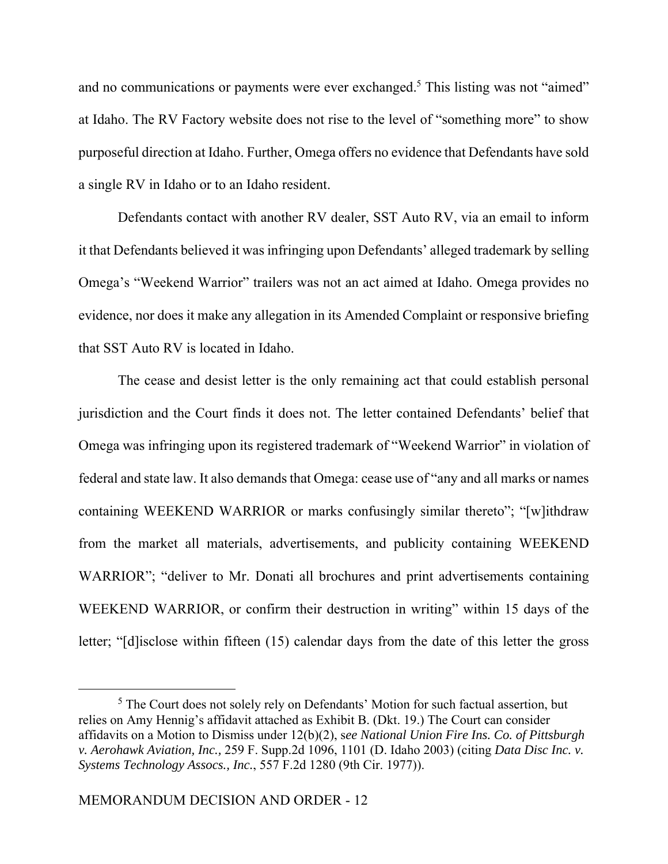and no communications or payments were ever exchanged.<sup>5</sup> This listing was not "aimed" at Idaho. The RV Factory website does not rise to the level of "something more" to show purposeful direction at Idaho. Further, Omega offers no evidence that Defendants have sold a single RV in Idaho or to an Idaho resident.

Defendants contact with another RV dealer, SST Auto RV, via an email to inform it that Defendants believed it was infringing upon Defendants' alleged trademark by selling Omega's "Weekend Warrior" trailers was not an act aimed at Idaho. Omega provides no evidence, nor does it make any allegation in its Amended Complaint or responsive briefing that SST Auto RV is located in Idaho.

The cease and desist letter is the only remaining act that could establish personal jurisdiction and the Court finds it does not. The letter contained Defendants' belief that Omega was infringing upon its registered trademark of "Weekend Warrior" in violation of federal and state law. It also demands that Omega: cease use of "any and all marks or names containing WEEKEND WARRIOR or marks confusingly similar thereto"; "[w]ithdraw from the market all materials, advertisements, and publicity containing WEEKEND WARRIOR"; "deliver to Mr. Donati all brochures and print advertisements containing WEEKEND WARRIOR, or confirm their destruction in writing" within 15 days of the letter; "[d]isclose within fifteen (15) calendar days from the date of this letter the gross

<sup>&</sup>lt;sup>5</sup> The Court does not solely rely on Defendants' Motion for such factual assertion, but relies on Amy Hennig's affidavit attached as Exhibit B. (Dkt. 19.) The Court can consider affidavits on a Motion to Dismiss under 12(b)(2), s*ee National Union Fire Ins. Co. of Pittsburgh v. Aerohawk Aviation, Inc.,* 259 F. Supp.2d 1096, 1101 (D. Idaho 2003) (citing *Data Disc Inc. v. Systems Technology Assocs., Inc.*, 557 F.2d 1280 (9th Cir. 1977)).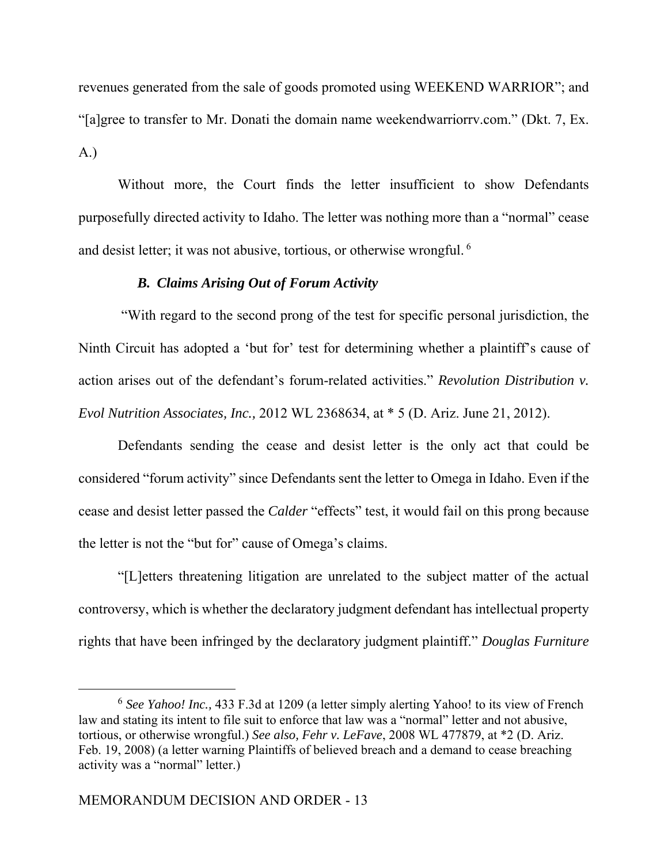revenues generated from the sale of goods promoted using WEEKEND WARRIOR"; and "[a]gree to transfer to Mr. Donati the domain name weekendwarriorrv.com." (Dkt. 7, Ex. A.)

Without more, the Court finds the letter insufficient to show Defendants purposefully directed activity to Idaho. The letter was nothing more than a "normal" cease and desist letter; it was not abusive, tortious, or otherwise wrongful.  $6$ 

# *B. Claims Arising Out of Forum Activity*

 "With regard to the second prong of the test for specific personal jurisdiction, the Ninth Circuit has adopted a 'but for' test for determining whether a plaintiff's cause of action arises out of the defendant's forum-related activities." *Revolution Distribution v. Evol Nutrition Associates, Inc.,* 2012 WL 2368634, at \* 5 (D. Ariz. June 21, 2012).

 Defendants sending the cease and desist letter is the only act that could be considered "forum activity" since Defendants sent the letter to Omega in Idaho. Even if the cease and desist letter passed the *Calder* "effects" test, it would fail on this prong because the letter is not the "but for" cause of Omega's claims.

 "[L]etters threatening litigation are unrelated to the subject matter of the actual controversy, which is whether the declaratory judgment defendant has intellectual property rights that have been infringed by the declaratory judgment plaintiff." *Douglas Furniture* 

<sup>6</sup> *See Yahoo! Inc.,* 433 F.3d at 1209 (a letter simply alerting Yahoo! to its view of French law and stating its intent to file suit to enforce that law was a "normal" letter and not abusive, tortious, or otherwise wrongful.) *See also, Fehr v. LeFave*, 2008 WL 477879, at \*2 (D. Ariz. Feb. 19, 2008) (a letter warning Plaintiffs of believed breach and a demand to cease breaching activity was a "normal" letter.)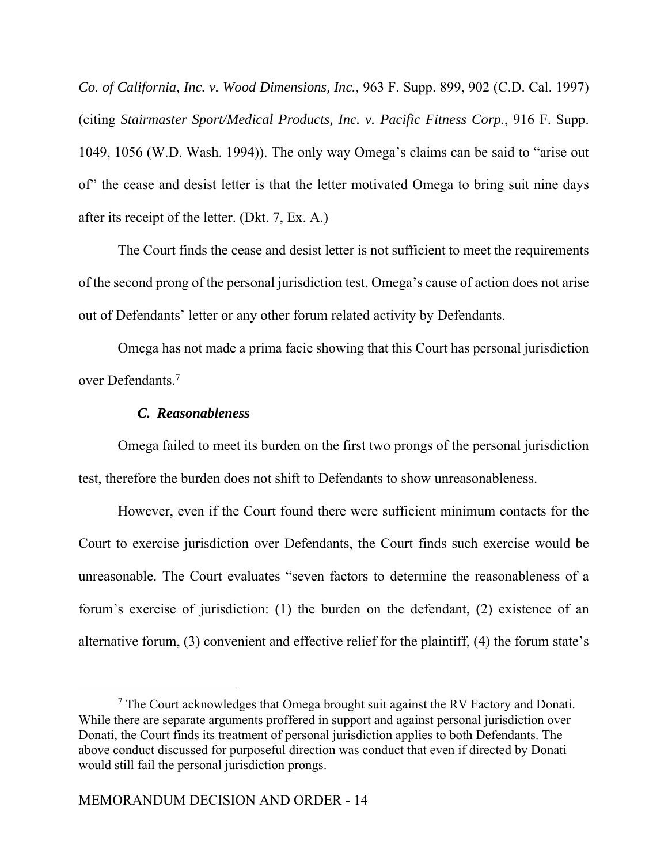*Co. of California, Inc. v. Wood Dimensions, Inc.,* 963 F. Supp. 899, 902 (C.D. Cal. 1997) (citing *Stairmaster Sport/Medical Products, Inc. v. Pacific Fitness Corp*., 916 F. Supp. 1049, 1056 (W.D. Wash. 1994)). The only way Omega's claims can be said to "arise out of" the cease and desist letter is that the letter motivated Omega to bring suit nine days after its receipt of the letter. (Dkt. 7, Ex. A.)

 The Court finds the cease and desist letter is not sufficient to meet the requirements of the second prong of the personal jurisdiction test. Omega's cause of action does not arise out of Defendants' letter or any other forum related activity by Defendants.

Omega has not made a prima facie showing that this Court has personal jurisdiction over Defendants<sup>7</sup>

## *C. Reasonableness*

Omega failed to meet its burden on the first two prongs of the personal jurisdiction test, therefore the burden does not shift to Defendants to show unreasonableness.

However, even if the Court found there were sufficient minimum contacts for the Court to exercise jurisdiction over Defendants, the Court finds such exercise would be unreasonable. The Court evaluates "seven factors to determine the reasonableness of a forum's exercise of jurisdiction: (1) the burden on the defendant, (2) existence of an alternative forum, (3) convenient and effective relief for the plaintiff, (4) the forum state's

 $7$  The Court acknowledges that Omega brought suit against the RV Factory and Donati. While there are separate arguments proffered in support and against personal jurisdiction over Donati, the Court finds its treatment of personal jurisdiction applies to both Defendants. The above conduct discussed for purposeful direction was conduct that even if directed by Donati would still fail the personal jurisdiction prongs.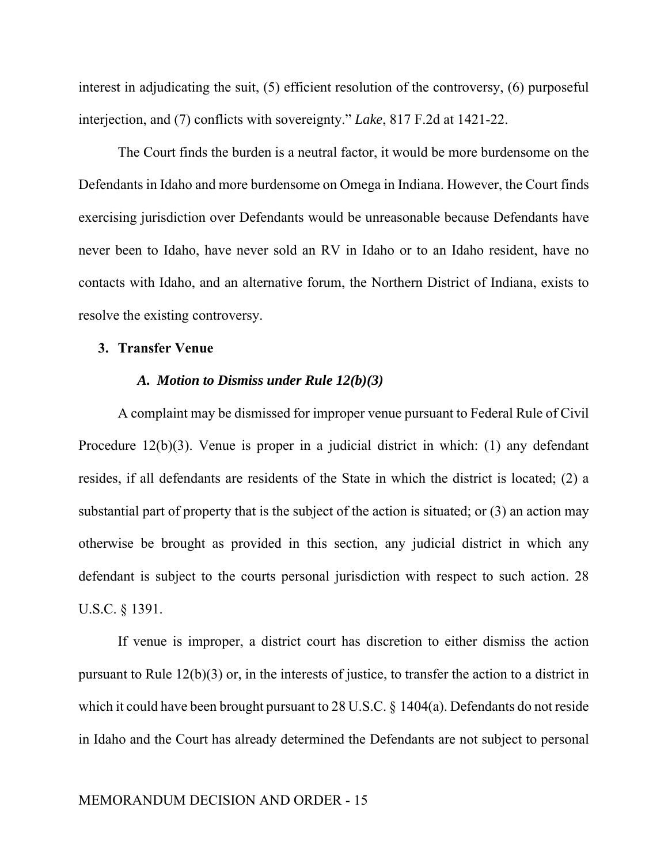interest in adjudicating the suit, (5) efficient resolution of the controversy, (6) purposeful interjection, and (7) conflicts with sovereignty." *Lake*, 817 F.2d at 1421-22.

The Court finds the burden is a neutral factor, it would be more burdensome on the Defendants in Idaho and more burdensome on Omega in Indiana. However, the Court finds exercising jurisdiction over Defendants would be unreasonable because Defendants have never been to Idaho, have never sold an RV in Idaho or to an Idaho resident, have no contacts with Idaho, and an alternative forum, the Northern District of Indiana, exists to resolve the existing controversy.

## **3. Transfer Venue**

#### *A. Motion to Dismiss under Rule 12(b)(3)*

A complaint may be dismissed for improper venue pursuant to Federal Rule of Civil Procedure 12(b)(3). Venue is proper in a judicial district in which: (1) any defendant resides, if all defendants are residents of the State in which the district is located; (2) a substantial part of property that is the subject of the action is situated; or (3) an action may otherwise be brought as provided in this section, any judicial district in which any defendant is subject to the courts personal jurisdiction with respect to such action. 28 U.S.C. § 1391.

If venue is improper, a district court has discretion to either dismiss the action pursuant to Rule 12(b)(3) or, in the interests of justice, to transfer the action to a district in which it could have been brought pursuant to 28 U.S.C. § 1404(a). Defendants do not reside in Idaho and the Court has already determined the Defendants are not subject to personal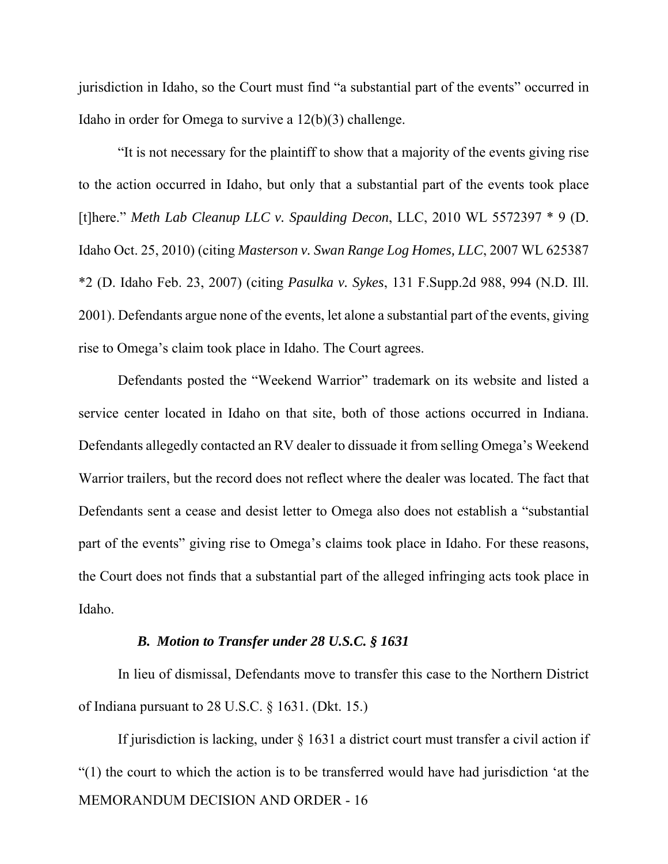jurisdiction in Idaho, so the Court must find "a substantial part of the events" occurred in Idaho in order for Omega to survive a 12(b)(3) challenge.

"It is not necessary for the plaintiff to show that a majority of the events giving rise to the action occurred in Idaho, but only that a substantial part of the events took place [t]here." *Meth Lab Cleanup LLC v. Spaulding Decon*, LLC, 2010 WL 5572397 \* 9 (D. Idaho Oct. 25, 2010) (citing *Masterson v. Swan Range Log Homes, LLC*, 2007 WL 625387 \*2 (D. Idaho Feb. 23, 2007) (citing *Pasulka v. Sykes*, 131 F.Supp.2d 988, 994 (N.D. Ill. 2001). Defendants argue none of the events, let alone a substantial part of the events, giving rise to Omega's claim took place in Idaho. The Court agrees.

Defendants posted the "Weekend Warrior" trademark on its website and listed a service center located in Idaho on that site, both of those actions occurred in Indiana. Defendants allegedly contacted an RV dealer to dissuade it from selling Omega's Weekend Warrior trailers, but the record does not reflect where the dealer was located. The fact that Defendants sent a cease and desist letter to Omega also does not establish a "substantial part of the events" giving rise to Omega's claims took place in Idaho. For these reasons, the Court does not finds that a substantial part of the alleged infringing acts took place in Idaho.

## *B. Motion to Transfer under 28 U.S.C. § 1631*

In lieu of dismissal, Defendants move to transfer this case to the Northern District of Indiana pursuant to 28 U.S.C. § 1631. (Dkt. 15.)

MEMORANDUM DECISION AND ORDER - 16 If jurisdiction is lacking, under § 1631 a district court must transfer a civil action if "(1) the court to which the action is to be transferred would have had jurisdiction 'at the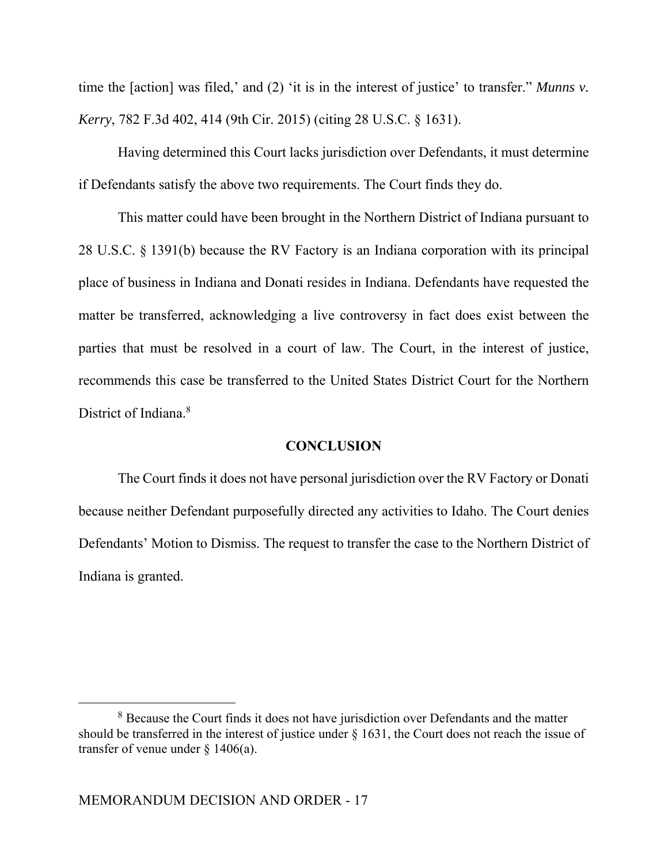time the [action] was filed,' and (2) 'it is in the interest of justice' to transfer." *Munns v. Kerry*, 782 F.3d 402, 414 (9th Cir. 2015) (citing 28 U.S.C. § 1631).

Having determined this Court lacks jurisdiction over Defendants, it must determine if Defendants satisfy the above two requirements. The Court finds they do.

This matter could have been brought in the Northern District of Indiana pursuant to 28 U.S.C. § 1391(b) because the RV Factory is an Indiana corporation with its principal place of business in Indiana and Donati resides in Indiana. Defendants have requested the matter be transferred, acknowledging a live controversy in fact does exist between the parties that must be resolved in a court of law. The Court, in the interest of justice, recommends this case be transferred to the United States District Court for the Northern District of Indiana.<sup>8</sup>

## **CONCLUSION**

 The Court finds it does not have personal jurisdiction over the RV Factory or Donati because neither Defendant purposefully directed any activities to Idaho. The Court denies Defendants' Motion to Dismiss. The request to transfer the case to the Northern District of Indiana is granted.

<sup>&</sup>lt;sup>8</sup> Because the Court finds it does not have jurisdiction over Defendants and the matter should be transferred in the interest of justice under § 1631, the Court does not reach the issue of transfer of venue under  $\frac{1406(a)}{a}$ .